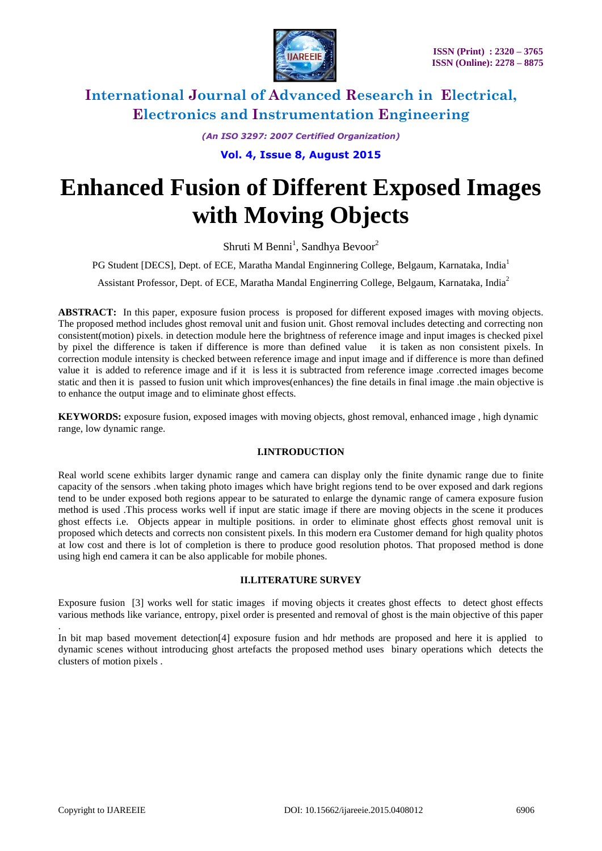

*(An ISO 3297: 2007 Certified Organization)*

**Vol. 4, Issue 8, August 2015**

# **Enhanced Fusion of Different Exposed Images with Moving Objects**

Shruti M Benni<sup>1</sup>, Sandhya Bevoor<sup>2</sup>

PG Student [DECS], Dept. of ECE, Maratha Mandal Enginnering College, Belgaum, Karnataka, India<sup>1</sup>

Assistant Professor, Dept. of ECE, Maratha Mandal Enginerring College, Belgaum, Karnataka, India<sup>2</sup>

**ABSTRACT:** In this paper, exposure fusion process is proposed for different exposed images with moving objects. The proposed method includes ghost removal unit and fusion unit. Ghost removal includes detecting and correcting non consistent(motion) pixels. in detection module here the brightness of reference image and input images is checked pixel by pixel the difference is taken if difference is more than defined value it is taken as non consistent pixels. In correction module intensity is checked between reference image and input image and if difference is more than defined value it is added to reference image and if it is less it is subtracted from reference image .corrected images become static and then it is passed to fusion unit which improves(enhances) the fine details in final image .the main objective is to enhance the output image and to eliminate ghost effects.

**KEYWORDS:** exposure fusion, exposed images with moving objects, ghost removal, enhanced image , high dynamic range, low dynamic range.

#### **I.INTRODUCTION**

Real world scene exhibits larger dynamic range and camera can display only the finite dynamic range due to finite capacity of the sensors .when taking photo images which have bright regions tend to be over exposed and dark regions tend to be under exposed both regions appear to be saturated to enlarge the dynamic range of camera exposure fusion method is used .This process works well if input are static image if there are moving objects in the scene it produces ghost effects i.e. Objects appear in multiple positions. in order to eliminate ghost effects ghost removal unit is proposed which detects and corrects non consistent pixels. In this modern era Customer demand for high quality photos at low cost and there is lot of completion is there to produce good resolution photos. That proposed method is done using high end camera it can be also applicable for mobile phones.

### **II.LITERATURE SURVEY**

Exposure fusion [3] works well for static images if moving objects it creates ghost effects to detect ghost effects various methods like variance, entropy, pixel order is presented and removal of ghost is the main objective of this paper

. In bit map based movement detection[4] exposure fusion and hdr methods are proposed and here it is applied to dynamic scenes without introducing ghost artefacts the proposed method uses binary operations which detects the clusters of motion pixels .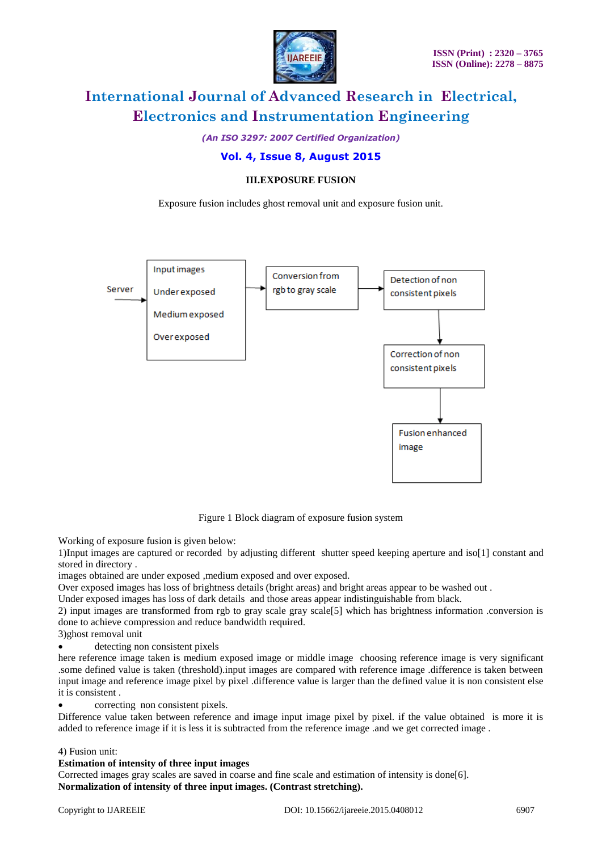

*(An ISO 3297: 2007 Certified Organization)*

### **Vol. 4, Issue 8, August 2015**

### **III.EXPOSURE FUSION**

Exposure fusion includes ghost removal unit and exposure fusion unit.



Figure 1 Block diagram of exposure fusion system

Working of exposure fusion is given below:

1)Input images are captured or recorded by adjusting different shutter speed keeping aperture and iso[1] constant and stored in directory .

images obtained are under exposed ,medium exposed and over exposed.

Over exposed images has loss of brightness details (bright areas) and bright areas appear to be washed out .

Under exposed images has loss of dark details and those areas appear indistinguishable from black.

2) input images are transformed from rgb to gray scale gray scale[5] which has brightness information .conversion is done to achieve compression and reduce bandwidth required.

3)ghost removal unit

detecting non consistent pixels

here reference image taken is medium exposed image or middle image choosing reference image is very significant .some defined value is taken (threshold).input images are compared with reference image .difference is taken between input image and reference image pixel by pixel .difference value is larger than the defined value it is non consistent else it is consistent .

correcting non consistent pixels.

Difference value taken between reference and image input image pixel by pixel. if the value obtained is more it is added to reference image if it is less it is subtracted from the reference image .and we get corrected image .

#### 4) Fusion unit:

#### **Estimation of intensity of three input images**

Corrected images gray scales are saved in coarse and fine scale and estimation of intensity is done[6]. **Normalization of intensity of three input images. (Contrast stretching).**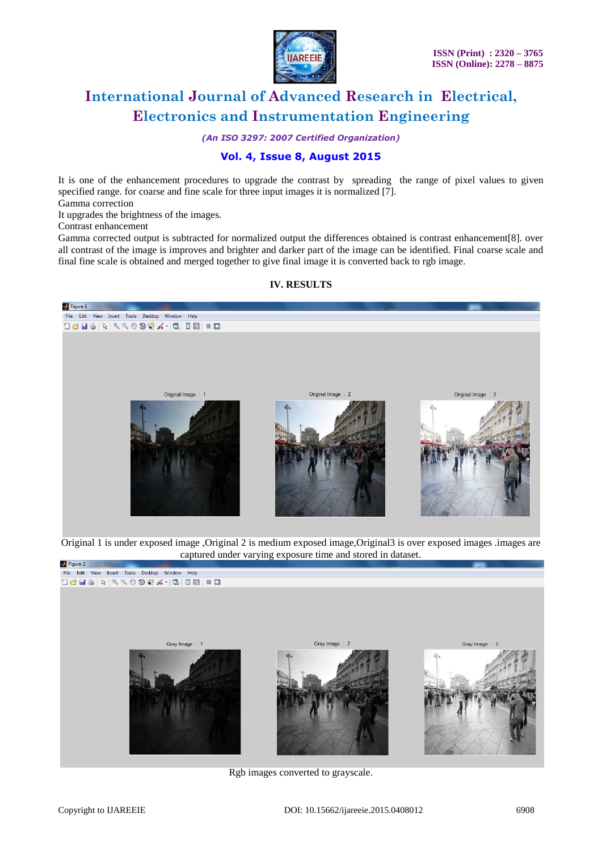

*(An ISO 3297: 2007 Certified Organization)*

### **Vol. 4, Issue 8, August 2015**

It is one of the enhancement procedures to upgrade the contrast by spreading the range of pixel values to given specified range. for coarse and fine scale for three input images it is normalized [7].

Gamma correction

It upgrades the brightness of the images.

Contrast enhancement

Gamma corrected output is subtracted for normalized output the differences obtained is contrast enhancement[8]. over all contrast of the image is improves and brighter and darker part of the image can be identified. Final coarse scale and final fine scale is obtained and merged together to give final image it is converted back to rgb image.

#### **IV. RESULTS**



Original 1 is under exposed image ,Original 2 is medium exposed image,Original3 is over exposed images .images are captured under varying exposure time and stored in dataset.



Rgb images converted to grayscale.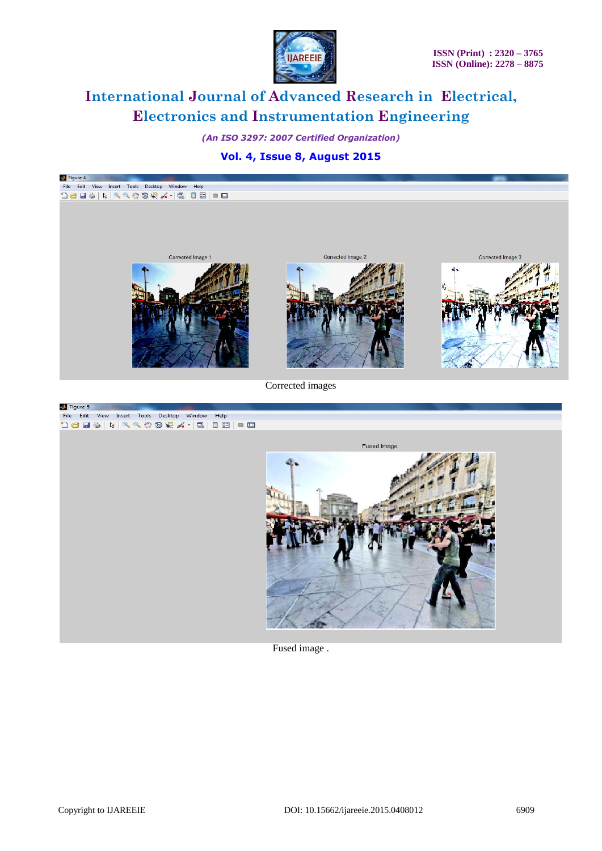

*(An ISO 3297: 2007 Certified Organization)*

**Vol. 4, Issue 8, August 2015**



Fused image .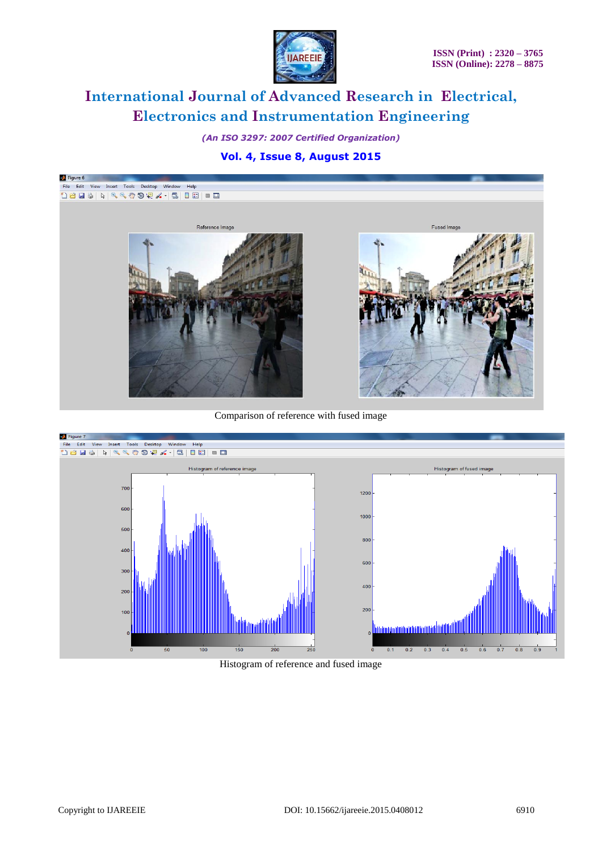

*(An ISO 3297: 2007 Certified Organization)*

### **Vol. 4, Issue 8, August 2015**



Comparison of reference with fused image



Histogram of reference and fused image